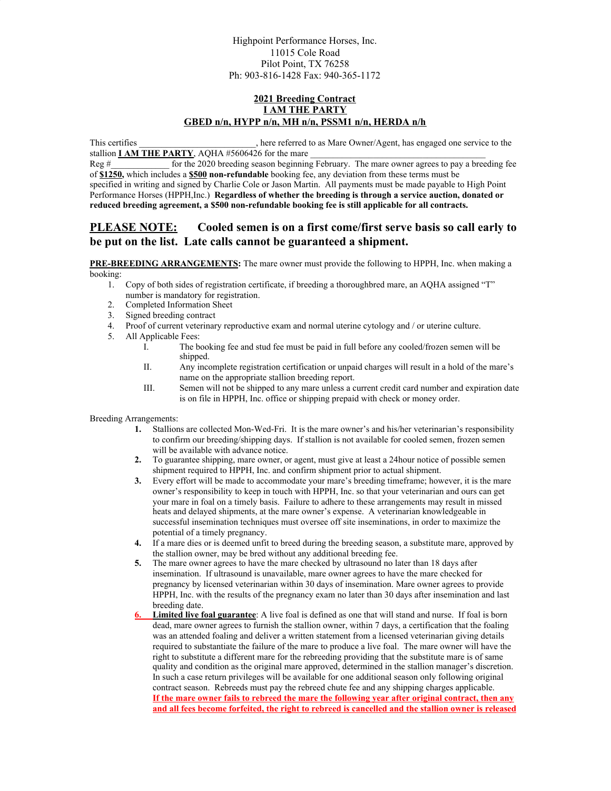## **2021 Breeding Contract I AM THE PARTY GBED n/n, HYPP n/n, MH n/n, PSSM1 n/n, HERDA n/h**

This certifies \_\_\_\_\_\_\_\_\_\_\_\_\_\_\_\_\_\_\_\_\_\_\_\_\_\_, here referred to as Mare Owner/Agent, has engaged one service to the stallion  $I$  AM THE PARTY, AQHA #5606426 for the mare

Reg  $\#$  for the 2020 breeding season beginning February. The mare owner agrees to pay a breeding fee of **\$1250,** which includes a **\$500 non-refundable** booking fee, any deviation from these terms must be specified in writing and signed by Charlie Cole or Jason Martin. All payments must be made payable to High Point Performance Horses (HPPH,Inc.) **Regardless of whether the breeding is through a service auction, donated or reduced breeding agreement, a \$500 non-refundable booking fee is still applicable for all contracts.**

## **PLEASE NOTE: Cooled semen is on a first come/first serve basis so call early to be put on the list. Late calls cannot be guaranteed a shipment.**

**PRE-BREEDING ARRANGEMENTS:** The mare owner must provide the following to HPPH, Inc. when making a booking:

- 1. Copy of both sides of registration certificate, if breeding a thoroughbred mare, an AQHA assigned "T" number is mandatory for registration.
- 2. Completed Information Sheet
- 3. Signed breeding contract
- 4. Proof of current veterinary reproductive exam and normal uterine cytology and / or uterine culture.
- 5. All Applicable Fees:
	- I. The booking fee and stud fee must be paid in full before any cooled/frozen semen will be shipped.
	- II. Any incomplete registration certification or unpaid charges will result in a hold of the mare's name on the appropriate stallion breeding report.
	- III. Semen will not be shipped to any mare unless a current credit card number and expiration date is on file in HPPH, Inc. office or shipping prepaid with check or money order.

Breeding Arrangements:

- **1.** Stallions are collected Mon-Wed-Fri. It is the mare owner's and his/her veterinarian's responsibility to confirm our breeding/shipping days. If stallion is not available for cooled semen, frozen semen will be available with advance notice.
- **2.** To guarantee shipping, mare owner, or agent, must give at least a 24hour notice of possible semen shipment required to HPPH, Inc. and confirm shipment prior to actual shipment.
- **3.** Every effort will be made to accommodate your mare's breeding timeframe; however, it is the mare owner's responsibility to keep in touch with HPPH, Inc. so that your veterinarian and ours can get your mare in foal on a timely basis. Failure to adhere to these arrangements may result in missed heats and delayed shipments, at the mare owner's expense. A veterinarian knowledgeable in successful insemination techniques must oversee off site inseminations, in order to maximize the potential of a timely pregnancy.
- **4.** If a mare dies or is deemed unfit to breed during the breeding season, a substitute mare, approved by the stallion owner, may be bred without any additional breeding fee.
- **5.** The mare owner agrees to have the mare checked by ultrasound no later than 18 days after insemination. If ultrasound is unavailable, mare owner agrees to have the mare checked for pregnancy by licensed veterinarian within 30 days of insemination. Mare owner agrees to provide HPPH, Inc. with the results of the pregnancy exam no later than 30 days after insemination and last breeding date.
- **Limited live foal guarantee**: A live foal is defined as one that will stand and nurse. If foal is born dead, mare owner agrees to furnish the stallion owner, within 7 days, a certification that the foaling was an attended foaling and deliver a written statement from a licensed veterinarian giving details required to substantiate the failure of the mare to produce a live foal. The mare owner will have the right to substitute a different mare for the rebreeding providing that the substitute mare is of same quality and condition as the original mare approved, determined in the stallion manager's discretion. In such a case return privileges will be available for one additional season only following original contract season. Rebreeds must pay the rebreed chute fee and any shipping charges applicable. **If the mare owner fails to rebreed the mare the following year after original contract, then any and all fees become forfeited, the right to rebreed is cancelled and the stallion owner is released**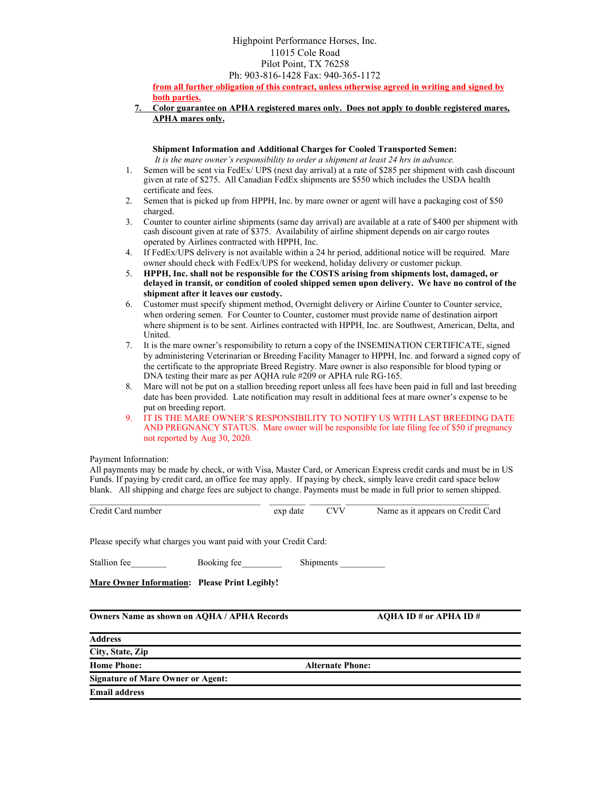**from all further obligation of this contract, unless otherwise agreed in writing and signed by both parties.**

**7. Color guarantee on APHA registered mares only. Does not apply to double registered mares, APHA mares only.**

**Shipment Information and Additional Charges for Cooled Transported Semen:** *It is the mare owner's responsibility to order a shipment at least 24 hrs in advance.*

- 1. Semen will be sent via FedEx/ UPS (next day arrival) at a rate of \$285 per shipment with cash discount given at rate of \$275. All Canadian FedEx shipments are \$550 which includes the USDA health certificate and fees.
- 2. Semen that is picked up from HPPH, Inc. by mare owner or agent will have a packaging cost of \$50 charged.
- 3. Counter to counter airline shipments (same day arrival) are available at a rate of \$400 per shipment with cash discount given at rate of \$375. Availability of airline shipment depends on air cargo routes operated by Airlines contracted with HPPH, Inc.
- 4. If FedEx/UPS delivery is not available within a 24 hr period, additional notice will be required. Mare owner should check with FedEx/UPS for weekend, holiday delivery or customer pickup.
- 5. **HPPH, Inc. shall not be responsible for the COSTS arising from shipments lost, damaged, or delayed in transit, or condition of cooled shipped semen upon delivery. We have no control of the shipment after it leaves our custody.**
- 6. Customer must specify shipment method, Overnight delivery or Airline Counter to Counter service, when ordering semen. For Counter to Counter, customer must provide name of destination airport where shipment is to be sent. Airlines contracted with HPPH, Inc. are Southwest, American, Delta, and **United.**
- 7. It is the mare owner's responsibility to return a copy of the INSEMINATION CERTIFICATE, signed by administering Veterinarian or Breeding Facility Manager to HPPH, Inc. and forward a signed copy of the certificate to the appropriate Breed Registry. Mare owner is also responsible for blood typing or DNA testing their mare as per AQHA rule #209 or APHA rule RG-165.
- 8. Mare will not be put on a stallion breeding report unless all fees have been paid in full and last breeding date has been provided. Late notification may result in additional fees at mare owner's expense to be put on breeding report.
- 9. IT IS THE MARE OWNER'S RESPONSIBILITY TO NOTIFY US WITH LAST BREEDING DATE AND PREGNANCY STATUS. Mare owner will be responsible for late filing fee of \$50 if pregnancy not reported by Aug 30, 2020.

## Payment Information:

All payments may be made by check, or with Visa, Master Card, or American Express credit cards and must be in US Funds. If paying by credit card, an office fee may apply. If paying by check, simply leave credit card space below blank. All shipping and charge fees are subject to change. Payments must be made in full prior to semen shipped.

| Credit Card number                                               |  |                         |           | exp date CVV Name as it appears on Credit Card |
|------------------------------------------------------------------|--|-------------------------|-----------|------------------------------------------------|
| Please specify what charges you want paid with your Credit Card: |  |                         |           |                                                |
| Stallion fee Booking fee                                         |  |                         | Shipments |                                                |
| Mare Owner Information: Please Print Legibly!                    |  |                         |           |                                                |
| <b>Owners Name as shown on AQHA / APHA Records</b>               |  |                         |           | AOHA ID # or APHA ID #                         |
| <b>Address</b>                                                   |  |                         |           |                                                |
| City, State, Zip                                                 |  |                         |           |                                                |
| <b>Home Phone:</b>                                               |  | <b>Alternate Phone:</b> |           |                                                |
| <b>Signature of Mare Owner or Agent:</b>                         |  |                         |           |                                                |
|                                                                  |  |                         |           |                                                |